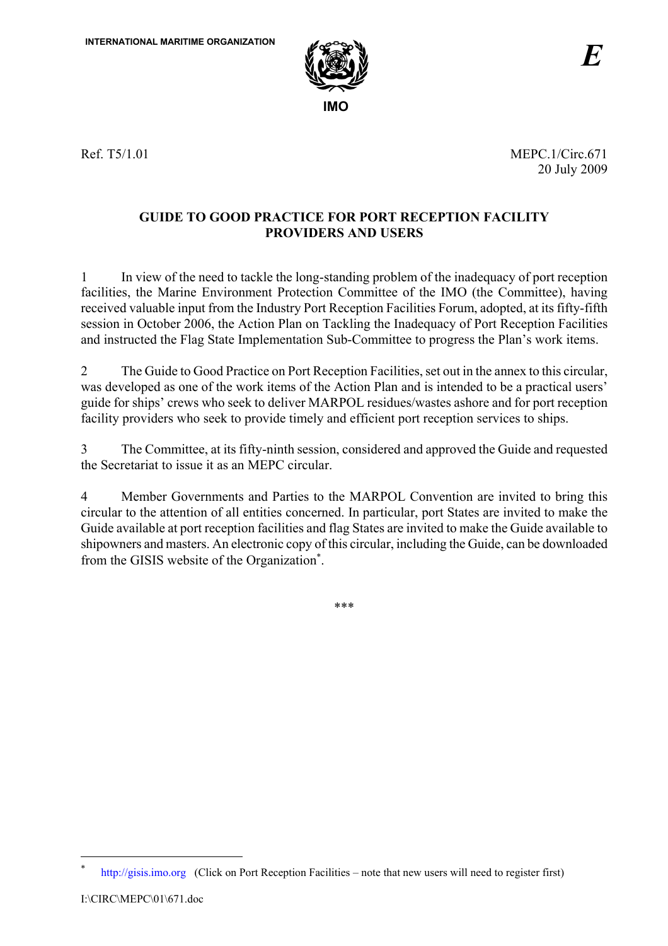

Ref. T5/1.01 MEPC.1/Circ.671 20 July 2009

# **GUIDE TO GOOD PRACTICE FOR PORT RECEPTION FACILITY PROVIDERS AND USERS**

1 In view of the need to tackle the long-standing problem of the inadequacy of port reception facilities, the Marine Environment Protection Committee of the IMO (the Committee), having received valuable input from the Industry Port Reception Facilities Forum, adopted, at its fifty-fifth session in October 2006, the Action Plan on Tackling the Inadequacy of Port Reception Facilities and instructed the Flag State Implementation Sub-Committee to progress the Plan's work items.

2 The Guide to Good Practice on Port Reception Facilities, set out in the annex to this circular, was developed as one of the work items of the Action Plan and is intended to be a practical users' guide for ships' crews who seek to deliver MARPOL residues/wastes ashore and for port reception facility providers who seek to provide timely and efficient port reception services to ships.

3 The Committee, at its fifty-ninth session, considered and approved the Guide and requested the Secretariat to issue it as an MEPC circular.

4 Member Governments and Parties to the MARPOL Convention are invited to bring this circular to the attention of all entities concerned. In particular, port States are invited to make the Guide available at port reception facilities and flag States are invited to make the Guide available to shipowners and masters. An electronic copy of this circular, including the Guide, can be downloaded from the GISIS website of the Organization<sup>\*</sup>.

\*\*\*

 $\overline{a}$ 

http://gisis.imo.org (Click on Port Reception Facilities – note that new users will need to register first)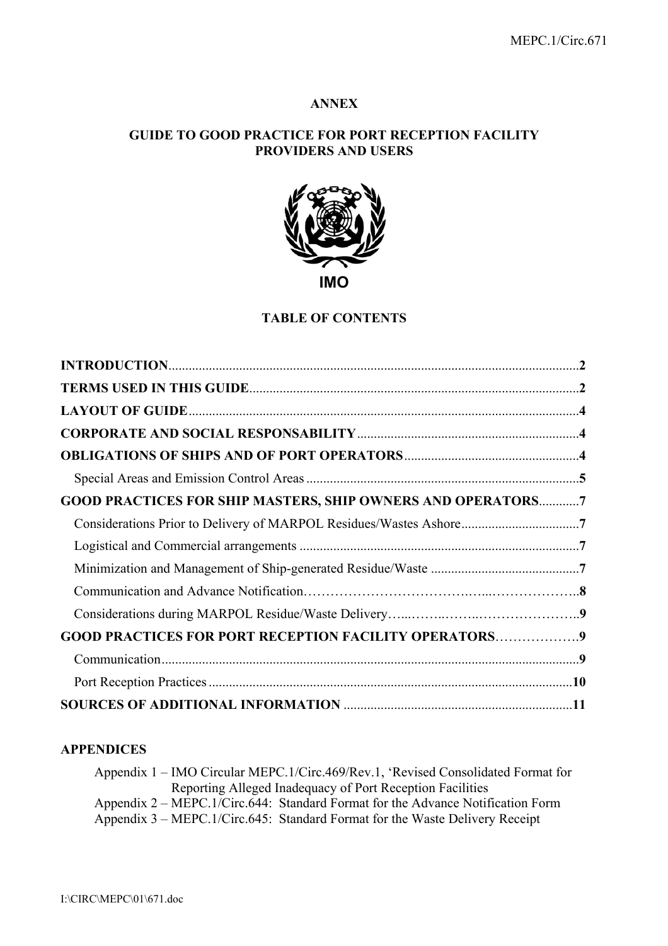# **ANNEX**

# **GUIDE TO GOOD PRACTICE FOR PORT RECEPTION FACILITY PROVIDERS AND USERS**



#### **TABLE OF CONTENTS**

| <b>GOOD PRACTICES FOR SHIP MASTERS, SHIP OWNERS AND OPERATORS7</b> |  |
|--------------------------------------------------------------------|--|
|                                                                    |  |
|                                                                    |  |
|                                                                    |  |
|                                                                    |  |
|                                                                    |  |
| <b>GOOD PRACTICES FOR PORT RECEPTION FACILITY OPERATORS9</b>       |  |
|                                                                    |  |
|                                                                    |  |
|                                                                    |  |

# **APPENDICES**

Appendix 1 – IMO Circular MEPC.1/Circ.469/Rev.1, 'Revised Consolidated Format for Reporting Alleged Inadequacy of Port Reception Facilities Appendix 2 – MEPC.1/Circ.644: Standard Format for the Advance Notification Form Appendix 3 – MEPC.1/Circ.645: Standard Format for the Waste Delivery Receipt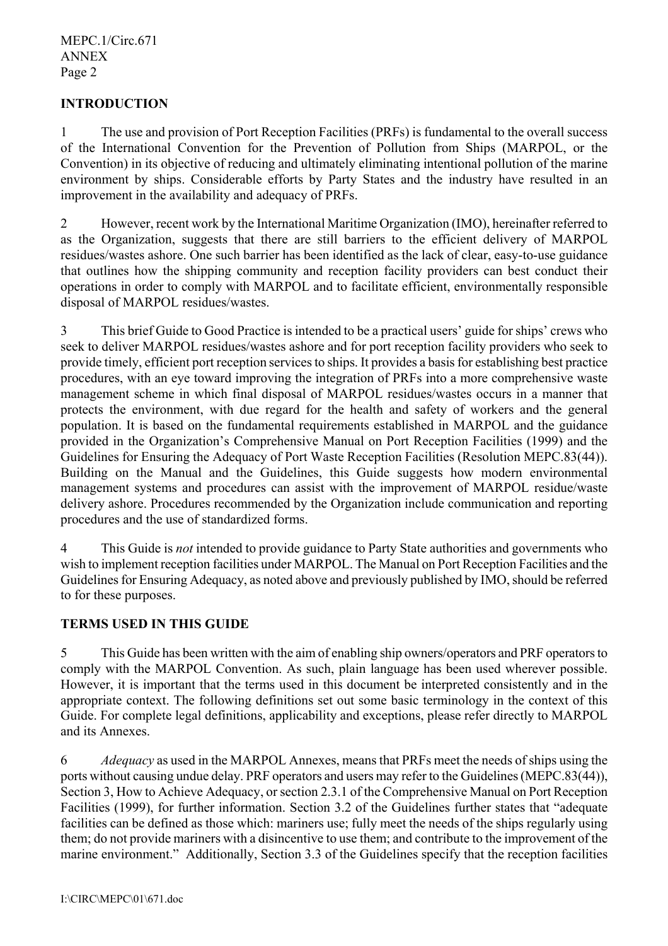# **INTRODUCTION**

1 The use and provision of Port Reception Facilities (PRFs) is fundamental to the overall success of the International Convention for the Prevention of Pollution from Ships (MARPOL, or the Convention) in its objective of reducing and ultimately eliminating intentional pollution of the marine environment by ships. Considerable efforts by Party States and the industry have resulted in an improvement in the availability and adequacy of PRFs.

2 However, recent work by the International Maritime Organization (IMO), hereinafter referred to as the Organization, suggests that there are still barriers to the efficient delivery of MARPOL residues/wastes ashore. One such barrier has been identified as the lack of clear, easy-to-use guidance that outlines how the shipping community and reception facility providers can best conduct their operations in order to comply with MARPOL and to facilitate efficient, environmentally responsible disposal of MARPOL residues/wastes.

3 This brief Guide to Good Practice is intended to be a practical users' guide for ships' crews who seek to deliver MARPOL residues/wastes ashore and for port reception facility providers who seek to provide timely, efficient port reception services to ships. It provides a basis for establishing best practice procedures, with an eye toward improving the integration of PRFs into a more comprehensive waste management scheme in which final disposal of MARPOL residues/wastes occurs in a manner that protects the environment, with due regard for the health and safety of workers and the general population. It is based on the fundamental requirements established in MARPOL and the guidance provided in the Organization's Comprehensive Manual on Port Reception Facilities (1999) and the Guidelines for Ensuring the Adequacy of Port Waste Reception Facilities (Resolution MEPC.83(44)). Building on the Manual and the Guidelines, this Guide suggests how modern environmental management systems and procedures can assist with the improvement of MARPOL residue/waste delivery ashore. Procedures recommended by the Organization include communication and reporting procedures and the use of standardized forms.

4 This Guide is *not* intended to provide guidance to Party State authorities and governments who wish to implement reception facilities under MARPOL. The Manual on Port Reception Facilities and the Guidelines for Ensuring Adequacy, as noted above and previously published by IMO, should be referred to for these purposes.

# **TERMS USED IN THIS GUIDE**

5 This Guide has been written with the aim of enabling ship owners/operators and PRF operators to comply with the MARPOL Convention. As such, plain language has been used wherever possible. However, it is important that the terms used in this document be interpreted consistently and in the appropriate context. The following definitions set out some basic terminology in the context of this Guide. For complete legal definitions, applicability and exceptions, please refer directly to MARPOL and its Annexes.

6 *Adequacy* as used in the MARPOL Annexes, means that PRFs meet the needs of ships using the ports without causing undue delay. PRF operators and users may refer to the Guidelines (MEPC.83(44)), Section 3, How to Achieve Adequacy, or section 2.3.1 of the Comprehensive Manual on Port Reception Facilities (1999), for further information. Section 3.2 of the Guidelines further states that "adequate facilities can be defined as those which: mariners use; fully meet the needs of the ships regularly using them; do not provide mariners with a disincentive to use them; and contribute to the improvement of the marine environment." Additionally, Section 3.3 of the Guidelines specify that the reception facilities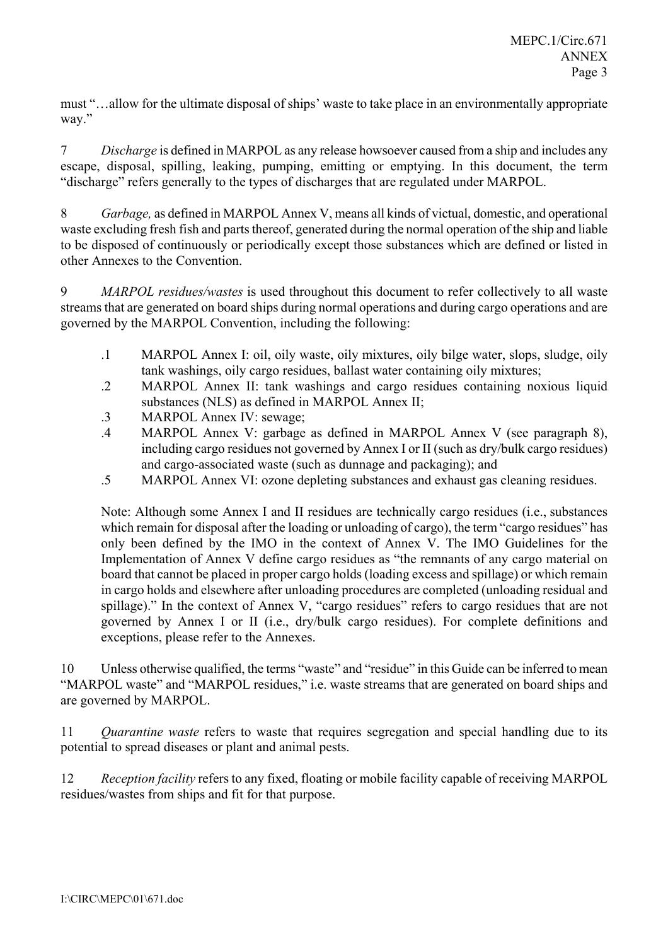must "…allow for the ultimate disposal of ships' waste to take place in an environmentally appropriate way."

7 *Discharge* is defined in MARPOL as any release howsoever caused from a ship and includes any escape, disposal, spilling, leaking, pumping, emitting or emptying. In this document, the term "discharge" refers generally to the types of discharges that are regulated under MARPOL.

8 *Garbage,* as defined in MARPOL Annex V, means all kinds of victual, domestic, and operational waste excluding fresh fish and parts thereof, generated during the normal operation of the ship and liable to be disposed of continuously or periodically except those substances which are defined or listed in other Annexes to the Convention.

9 *MARPOL residues/wastes* is used throughout this document to refer collectively to all waste streams that are generated on board ships during normal operations and during cargo operations and are governed by the MARPOL Convention, including the following:

- .1 MARPOL Annex I: oil, oily waste, oily mixtures, oily bilge water, slops, sludge, oily tank washings, oily cargo residues, ballast water containing oily mixtures;
- .2 MARPOL Annex II: tank washings and cargo residues containing noxious liquid substances (NLS) as defined in MARPOL Annex II;
- .3 MARPOL Annex IV: sewage;
- .4 MARPOL Annex V: garbage as defined in MARPOL Annex V (see paragraph 8), including cargo residues not governed by Annex I or II (such as dry/bulk cargo residues) and cargo-associated waste (such as dunnage and packaging); and
- .5 MARPOL Annex VI: ozone depleting substances and exhaust gas cleaning residues.

Note: Although some Annex I and II residues are technically cargo residues (i.e., substances which remain for disposal after the loading or unloading of cargo), the term "cargo residues" has only been defined by the IMO in the context of Annex V. The IMO Guidelines for the Implementation of Annex V define cargo residues as "the remnants of any cargo material on board that cannot be placed in proper cargo holds (loading excess and spillage) or which remain in cargo holds and elsewhere after unloading procedures are completed (unloading residual and spillage)." In the context of Annex V, "cargo residues" refers to cargo residues that are not governed by Annex I or II (i.e., dry/bulk cargo residues). For complete definitions and exceptions, please refer to the Annexes.

10 Unless otherwise qualified, the terms "waste" and "residue" in this Guide can be inferred to mean "MARPOL waste" and "MARPOL residues," i.e. waste streams that are generated on board ships and are governed by MARPOL.

11 *Quarantine waste* refers to waste that requires segregation and special handling due to its potential to spread diseases or plant and animal pests.

12 *Reception facility* refers to any fixed, floating or mobile facility capable of receiving MARPOL residues/wastes from ships and fit for that purpose.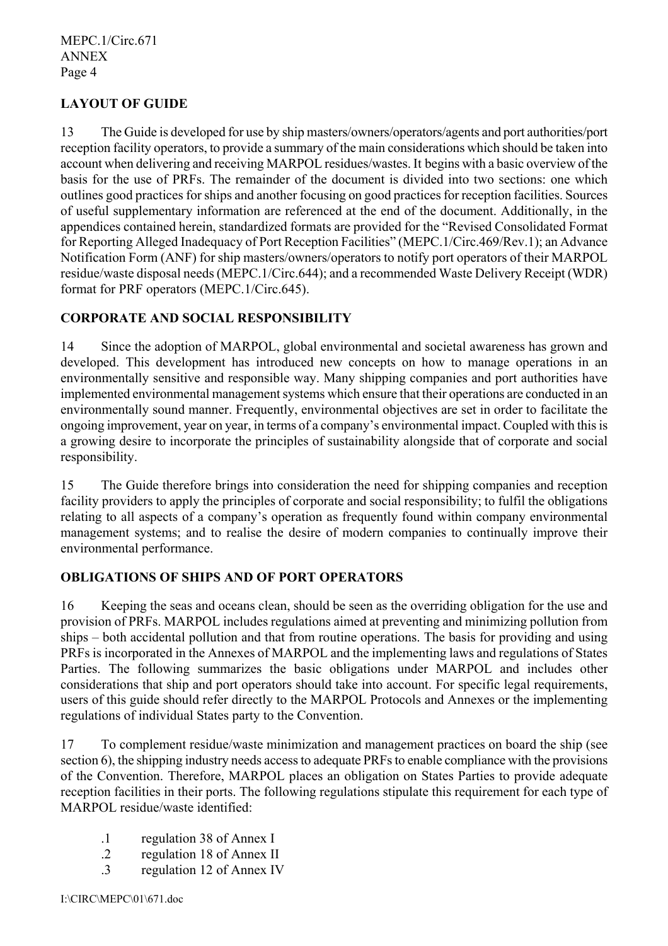# **LAYOUT OF GUIDE**

13 The Guide is developed for use by ship masters/owners/operators/agents and port authorities/port reception facility operators, to provide a summary of the main considerations which should be taken into account when delivering and receiving MARPOL residues/wastes. It begins with a basic overview of the basis for the use of PRFs. The remainder of the document is divided into two sections: one which outlines good practices for ships and another focusing on good practices for reception facilities. Sources of useful supplementary information are referenced at the end of the document. Additionally, in the appendices contained herein, standardized formats are provided for the "Revised Consolidated Format for Reporting Alleged Inadequacy of Port Reception Facilities" (MEPC.1/Circ.469/Rev.1); an Advance Notification Form (ANF) for ship masters/owners/operators to notify port operators of their MARPOL residue/waste disposal needs (MEPC.1/Circ.644); and a recommended Waste Delivery Receipt (WDR) format for PRF operators (MEPC.1/Circ.645).

# **CORPORATE AND SOCIAL RESPONSIBILITY**

14 Since the adoption of MARPOL, global environmental and societal awareness has grown and developed. This development has introduced new concepts on how to manage operations in an environmentally sensitive and responsible way. Many shipping companies and port authorities have implemented environmental management systems which ensure that their operations are conducted in an environmentally sound manner. Frequently, environmental objectives are set in order to facilitate the ongoing improvement, year on year, in terms of a company's environmental impact. Coupled with this is a growing desire to incorporate the principles of sustainability alongside that of corporate and social responsibility.

15 The Guide therefore brings into consideration the need for shipping companies and reception facility providers to apply the principles of corporate and social responsibility; to fulfil the obligations relating to all aspects of a company's operation as frequently found within company environmental management systems; and to realise the desire of modern companies to continually improve their environmental performance.

# **OBLIGATIONS OF SHIPS AND OF PORT OPERATORS**

16 Keeping the seas and oceans clean, should be seen as the overriding obligation for the use and provision of PRFs. MARPOL includes regulations aimed at preventing and minimizing pollution from ships – both accidental pollution and that from routine operations. The basis for providing and using PRFs is incorporated in the Annexes of MARPOL and the implementing laws and regulations of States Parties. The following summarizes the basic obligations under MARPOL and includes other considerations that ship and port operators should take into account. For specific legal requirements, users of this guide should refer directly to the MARPOL Protocols and Annexes or the implementing regulations of individual States party to the Convention.

17 To complement residue/waste minimization and management practices on board the ship (see section 6), the shipping industry needs access to adequate PRFs to enable compliance with the provisions of the Convention. Therefore, MARPOL places an obligation on States Parties to provide adequate reception facilities in their ports. The following regulations stipulate this requirement for each type of MARPOL residue/waste identified:

- .1 regulation 38 of Annex I
- .2 regulation 18 of Annex II
- .3 regulation 12 of Annex IV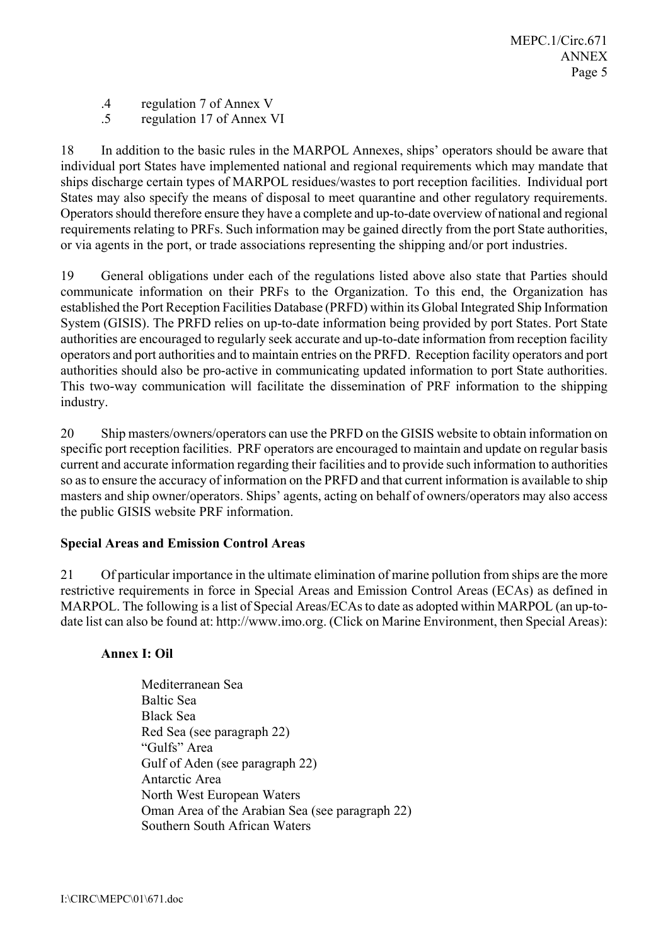- .4 regulation 7 of Annex V
- .5 regulation 17 of Annex VI

18 In addition to the basic rules in the MARPOL Annexes, ships' operators should be aware that individual port States have implemented national and regional requirements which may mandate that ships discharge certain types of MARPOL residues/wastes to port reception facilities. Individual port States may also specify the means of disposal to meet quarantine and other regulatory requirements. Operators should therefore ensure they have a complete and up-to-date overview of national and regional requirements relating to PRFs. Such information may be gained directly from the port State authorities, or via agents in the port, or trade associations representing the shipping and/or port industries.

19 General obligations under each of the regulations listed above also state that Parties should communicate information on their PRFs to the Organization. To this end, the Organization has established the Port Reception Facilities Database (PRFD) within its Global Integrated Ship Information System (GISIS). The PRFD relies on up-to-date information being provided by port States. Port State authorities are encouraged to regularly seek accurate and up-to-date information from reception facility operators and port authorities and to maintain entries on the PRFD. Reception facility operators and port authorities should also be pro-active in communicating updated information to port State authorities. This two-way communication will facilitate the dissemination of PRF information to the shipping industry.

20 Ship masters/owners/operators can use the PRFD on the GISIS website to obtain information on specific port reception facilities. PRF operators are encouraged to maintain and update on regular basis current and accurate information regarding their facilities and to provide such information to authorities so as to ensure the accuracy of information on the PRFD and that current information is available to ship masters and ship owner/operators. Ships' agents, acting on behalf of owners/operators may also access the public GISIS website PRF information.

# **Special Areas and Emission Control Areas**

21 Of particular importance in the ultimate elimination of marine pollution from ships are the more restrictive requirements in force in Special Areas and Emission Control Areas (ECAs) as defined in MARPOL. The following is a list of Special Areas/ECAs to date as adopted within MARPOL (an up-todate list can also be found at: http://www.imo.org. (Click on Marine Environment, then Special Areas):

# **Annex I: Oil**

Mediterranean Sea Baltic Sea Black Sea Red Sea (see paragraph 22) "Gulfs" Area Gulf of Aden (see paragraph 22) Antarctic Area North West European Waters Oman Area of the Arabian Sea (see paragraph 22) Southern South African Waters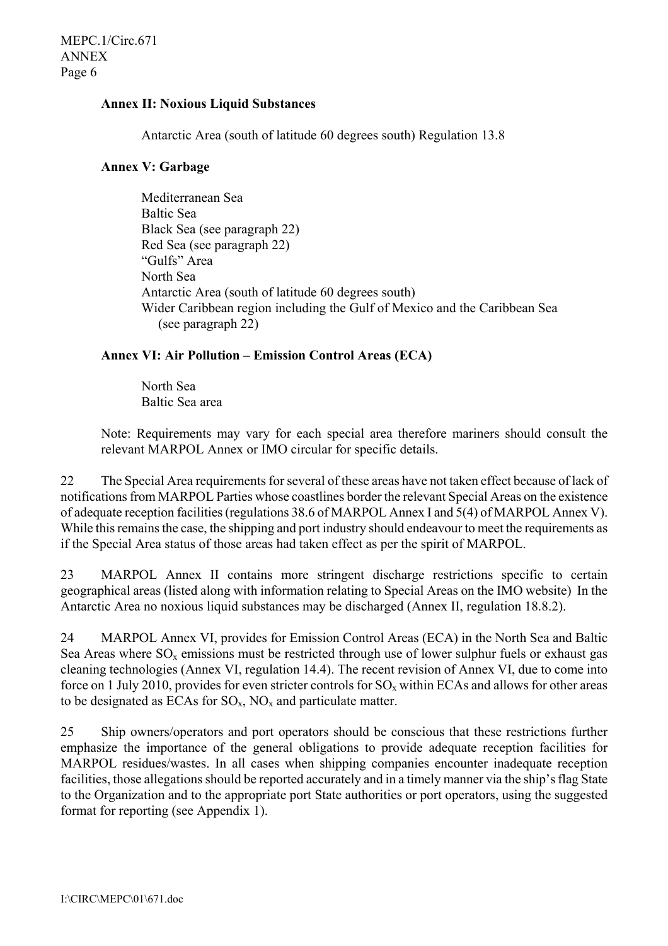## **Annex II: Noxious Liquid Substances**

Antarctic Area (south of latitude 60 degrees south) Regulation 13.8

# **Annex V: Garbage**

Mediterranean Sea Baltic Sea Black Sea (see paragraph 22) Red Sea (see paragraph 22) "Gulfs" Area North Sea Antarctic Area (south of latitude 60 degrees south) Wider Caribbean region including the Gulf of Mexico and the Caribbean Sea (see paragraph 22)

# **Annex VI: Air Pollution – Emission Control Areas (ECA)**

North Sea Baltic Sea area

Note: Requirements may vary for each special area therefore mariners should consult the relevant MARPOL Annex or IMO circular for specific details.

22 The Special Area requirements for several of these areas have not taken effect because of lack of notifications from MARPOL Parties whose coastlines border the relevant Special Areas on the existence of adequate reception facilities (regulations 38.6 of MARPOL Annex I and 5(4) of MARPOL Annex V). While this remains the case, the shipping and port industry should endeavour to meet the requirements as if the Special Area status of those areas had taken effect as per the spirit of MARPOL.

23 MARPOL Annex II contains more stringent discharge restrictions specific to certain geographical areas (listed along with information relating to Special Areas on the IMO website) In the Antarctic Area no noxious liquid substances may be discharged (Annex II, regulation 18.8.2).

24 MARPOL Annex VI, provides for Emission Control Areas (ECA) in the North Sea and Baltic Sea Areas where  $SO_x$  emissions must be restricted through use of lower sulphur fuels or exhaust gas cleaning technologies (Annex VI, regulation 14.4). The recent revision of Annex VI, due to come into force on 1 July 2010, provides for even stricter controls for  $SO_x$  within ECAs and allows for other areas to be designated as ECAs for  $SO_x$ ,  $NO_x$  and particulate matter.

25 Ship owners/operators and port operators should be conscious that these restrictions further emphasize the importance of the general obligations to provide adequate reception facilities for MARPOL residues/wastes. In all cases when shipping companies encounter inadequate reception facilities, those allegations should be reported accurately and in a timely manner via the ship's flag State to the Organization and to the appropriate port State authorities or port operators, using the suggested format for reporting (see Appendix 1).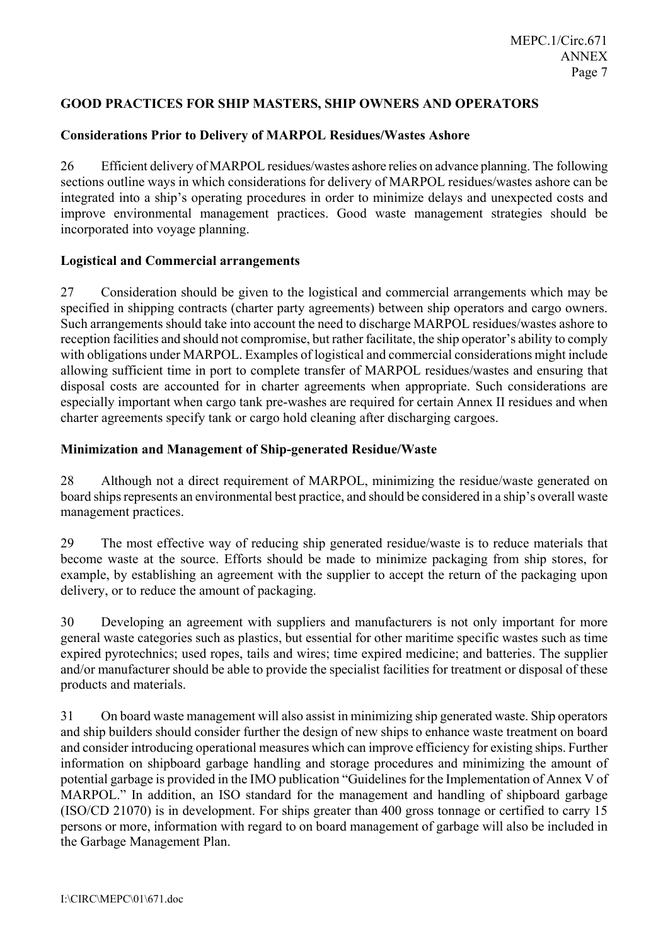# **GOOD PRACTICES FOR SHIP MASTERS, SHIP OWNERS AND OPERATORS**

# **Considerations Prior to Delivery of MARPOL Residues/Wastes Ashore**

26 Efficient delivery of MARPOL residues/wastes ashore relies on advance planning. The following sections outline ways in which considerations for delivery of MARPOL residues/wastes ashore can be integrated into a ship's operating procedures in order to minimize delays and unexpected costs and improve environmental management practices. Good waste management strategies should be incorporated into voyage planning.

#### **Logistical and Commercial arrangements**

27 Consideration should be given to the logistical and commercial arrangements which may be specified in shipping contracts (charter party agreements) between ship operators and cargo owners. Such arrangements should take into account the need to discharge MARPOL residues/wastes ashore to reception facilities and should not compromise, but rather facilitate, the ship operator's ability to comply with obligations under MARPOL. Examples of logistical and commercial considerations might include allowing sufficient time in port to complete transfer of MARPOL residues/wastes and ensuring that disposal costs are accounted for in charter agreements when appropriate. Such considerations are especially important when cargo tank pre-washes are required for certain Annex II residues and when charter agreements specify tank or cargo hold cleaning after discharging cargoes.

# **Minimization and Management of Ship-generated Residue/Waste**

28 Although not a direct requirement of MARPOL, minimizing the residue/waste generated on board ships represents an environmental best practice, and should be considered in a ship's overall waste management practices.

29 The most effective way of reducing ship generated residue/waste is to reduce materials that become waste at the source. Efforts should be made to minimize packaging from ship stores, for example, by establishing an agreement with the supplier to accept the return of the packaging upon delivery, or to reduce the amount of packaging.

30 Developing an agreement with suppliers and manufacturers is not only important for more general waste categories such as plastics, but essential for other maritime specific wastes such as time expired pyrotechnics; used ropes, tails and wires; time expired medicine; and batteries. The supplier and/or manufacturer should be able to provide the specialist facilities for treatment or disposal of these products and materials.

31 On board waste management will also assist in minimizing ship generated waste. Ship operators and ship builders should consider further the design of new ships to enhance waste treatment on board and consider introducing operational measures which can improve efficiency for existing ships. Further information on shipboard garbage handling and storage procedures and minimizing the amount of potential garbage is provided in the IMO publication "Guidelines for the Implementation of Annex V of MARPOL." In addition, an ISO standard for the management and handling of shipboard garbage (ISO/CD 21070) is in development. For ships greater than 400 gross tonnage or certified to carry 15 persons or more, information with regard to on board management of garbage will also be included in the Garbage Management Plan.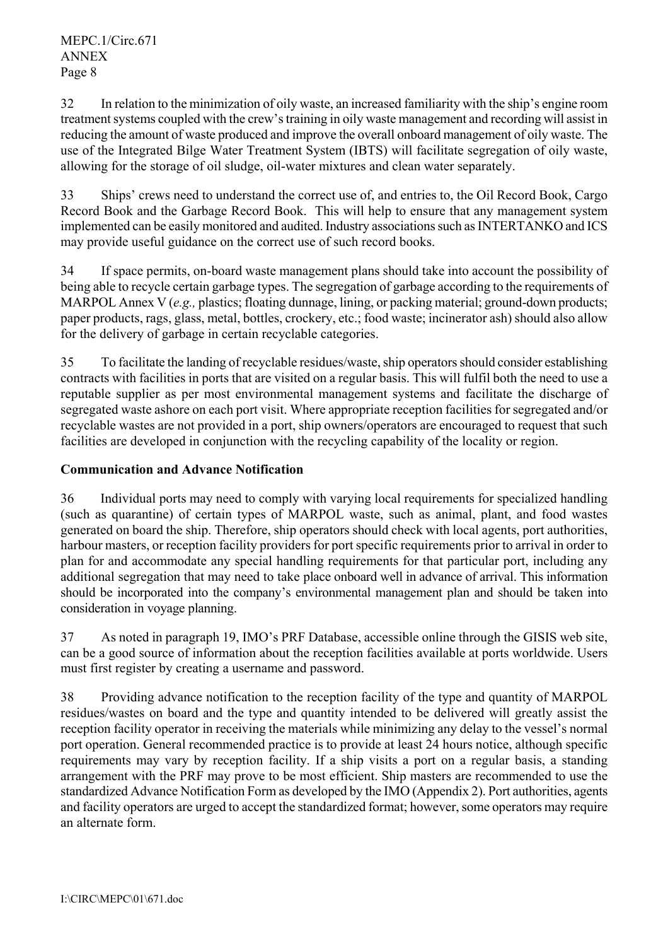32 In relation to the minimization of oily waste, an increased familiarity with the ship's engine room treatment systems coupled with the crew's training in oily waste management and recording will assist in reducing the amount of waste produced and improve the overall onboard management of oily waste. The use of the Integrated Bilge Water Treatment System (IBTS) will facilitate segregation of oily waste, allowing for the storage of oil sludge, oil-water mixtures and clean water separately.

33 Ships' crews need to understand the correct use of, and entries to, the Oil Record Book, Cargo Record Book and the Garbage Record Book. This will help to ensure that any management system implemented can be easily monitored and audited. Industry associations such as INTERTANKO and ICS may provide useful guidance on the correct use of such record books.

34 If space permits, on-board waste management plans should take into account the possibility of being able to recycle certain garbage types. The segregation of garbage according to the requirements of MARPOL Annex V (*e.g.*, plastics; floating dunnage, lining, or packing material; ground-down products; paper products, rags, glass, metal, bottles, crockery, etc.; food waste; incinerator ash) should also allow for the delivery of garbage in certain recyclable categories.

35 To facilitate the landing of recyclable residues/waste, ship operators should consider establishing contracts with facilities in ports that are visited on a regular basis. This will fulfil both the need to use a reputable supplier as per most environmental management systems and facilitate the discharge of segregated waste ashore on each port visit. Where appropriate reception facilities for segregated and/or recyclable wastes are not provided in a port, ship owners/operators are encouraged to request that such facilities are developed in conjunction with the recycling capability of the locality or region.

# **Communication and Advance Notification**

36 Individual ports may need to comply with varying local requirements for specialized handling (such as quarantine) of certain types of MARPOL waste, such as animal, plant, and food wastes generated on board the ship. Therefore, ship operators should check with local agents, port authorities, harbour masters, or reception facility providers for port specific requirements prior to arrival in order to plan for and accommodate any special handling requirements for that particular port, including any additional segregation that may need to take place onboard well in advance of arrival. This information should be incorporated into the company's environmental management plan and should be taken into consideration in voyage planning.

37 As noted in paragraph 19, IMO's PRF Database, accessible online through the GISIS web site, can be a good source of information about the reception facilities available at ports worldwide. Users must first register by creating a username and password.

38 Providing advance notification to the reception facility of the type and quantity of MARPOL residues/wastes on board and the type and quantity intended to be delivered will greatly assist the reception facility operator in receiving the materials while minimizing any delay to the vessel's normal port operation. General recommended practice is to provide at least 24 hours notice, although specific requirements may vary by reception facility. If a ship visits a port on a regular basis, a standing arrangement with the PRF may prove to be most efficient. Ship masters are recommended to use the standardized Advance Notification Form as developed by the IMO (Appendix 2). Port authorities, agents and facility operators are urged to accept the standardized format; however, some operators may require an alternate form.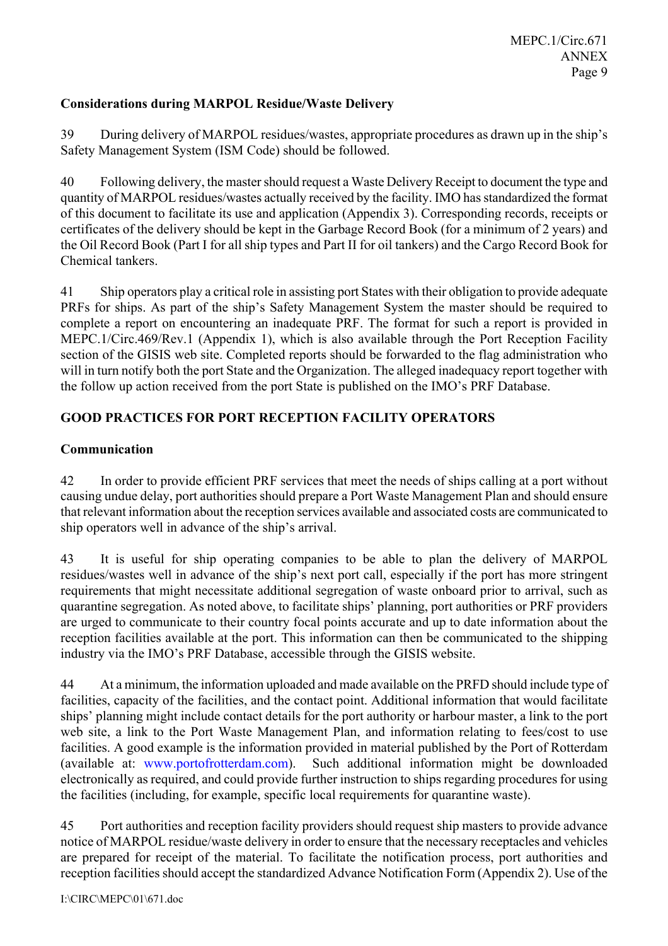# **Considerations during MARPOL Residue/Waste Delivery**

39 During delivery of MARPOL residues/wastes, appropriate procedures as drawn up in the ship's Safety Management System (ISM Code) should be followed.

40 Following delivery, the master should request a Waste Delivery Receipt to document the type and quantity of MARPOL residues/wastes actually received by the facility. IMO has standardized the format of this document to facilitate its use and application (Appendix 3). Corresponding records, receipts or certificates of the delivery should be kept in the Garbage Record Book (for a minimum of 2 years) and the Oil Record Book (Part I for all ship types and Part II for oil tankers) and the Cargo Record Book for Chemical tankers.

41 Ship operators play a critical role in assisting port States with their obligation to provide adequate PRFs for ships. As part of the ship's Safety Management System the master should be required to complete a report on encountering an inadequate PRF. The format for such a report is provided in MEPC.1/Circ.469/Rev.1 (Appendix 1), which is also available through the Port Reception Facility section of the GISIS web site. Completed reports should be forwarded to the flag administration who will in turn notify both the port State and the Organization. The alleged inadequacy report together with the follow up action received from the port State is published on the IMO's PRF Database.

# **GOOD PRACTICES FOR PORT RECEPTION FACILITY OPERATORS**

## **Communication**

42 In order to provide efficient PRF services that meet the needs of ships calling at a port without causing undue delay, port authorities should prepare a Port Waste Management Plan and should ensure that relevant information about the reception services available and associated costs are communicated to ship operators well in advance of the ship's arrival.

43 It is useful for ship operating companies to be able to plan the delivery of MARPOL residues/wastes well in advance of the ship's next port call, especially if the port has more stringent requirements that might necessitate additional segregation of waste onboard prior to arrival, such as quarantine segregation. As noted above, to facilitate ships' planning, port authorities or PRF providers are urged to communicate to their country focal points accurate and up to date information about the reception facilities available at the port. This information can then be communicated to the shipping industry via the IMO's PRF Database, accessible through the GISIS website.

44 At a minimum, the information uploaded and made available on the PRFD should include type of facilities, capacity of the facilities, and the contact point. Additional information that would facilitate ships' planning might include contact details for the port authority or harbour master, a link to the port web site, a link to the Port Waste Management Plan, and information relating to fees/cost to use facilities. A good example is the information provided in material published by the Port of Rotterdam (available at: www.portofrotterdam.com). Such additional information might be downloaded electronically as required, and could provide further instruction to ships regarding procedures for using the facilities (including, for example, specific local requirements for quarantine waste).

45 Port authorities and reception facility providers should request ship masters to provide advance notice of MARPOL residue/waste delivery in order to ensure that the necessary receptacles and vehicles are prepared for receipt of the material. To facilitate the notification process, port authorities and reception facilities should accept the standardized Advance Notification Form (Appendix 2). Use of the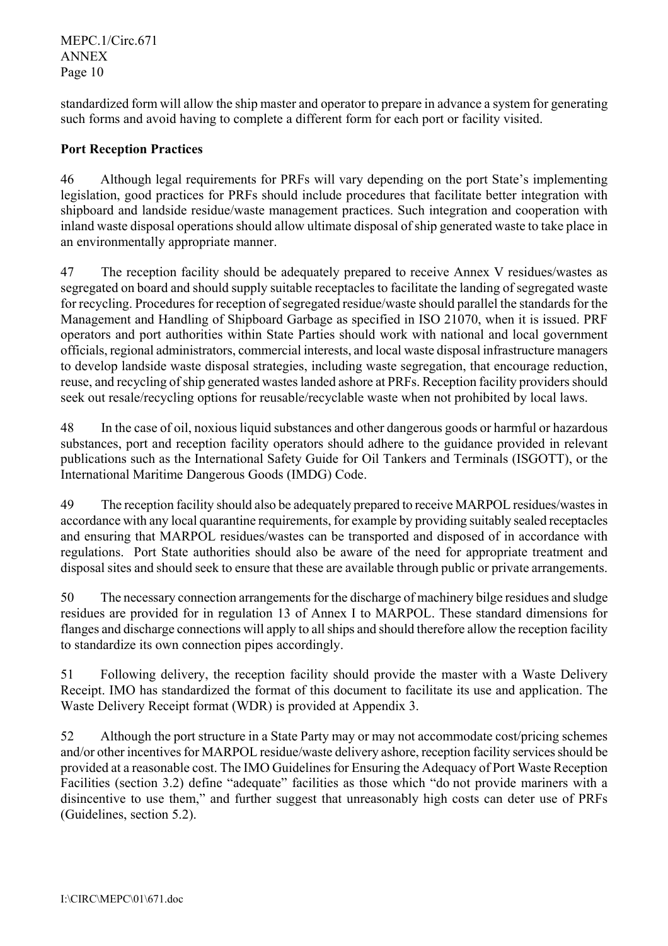MEPC.1/Circ.671 ANNEX Page 10

standardized form will allow the ship master and operator to prepare in advance a system for generating such forms and avoid having to complete a different form for each port or facility visited.

# **Port Reception Practices**

46 Although legal requirements for PRFs will vary depending on the port State's implementing legislation, good practices for PRFs should include procedures that facilitate better integration with shipboard and landside residue/waste management practices. Such integration and cooperation with inland waste disposal operations should allow ultimate disposal of ship generated waste to take place in an environmentally appropriate manner.

47 The reception facility should be adequately prepared to receive Annex V residues/wastes as segregated on board and should supply suitable receptacles to facilitate the landing of segregated waste for recycling. Procedures for reception of segregated residue/waste should parallel the standards for the Management and Handling of Shipboard Garbage as specified in ISO 21070, when it is issued. PRF operators and port authorities within State Parties should work with national and local government officials, regional administrators, commercial interests, and local waste disposal infrastructure managers to develop landside waste disposal strategies, including waste segregation, that encourage reduction, reuse, and recycling of ship generated wastes landed ashore at PRFs. Reception facility providers should seek out resale/recycling options for reusable/recyclable waste when not prohibited by local laws.

48 In the case of oil, noxious liquid substances and other dangerous goods or harmful or hazardous substances, port and reception facility operators should adhere to the guidance provided in relevant publications such as the International Safety Guide for Oil Tankers and Terminals (ISGOTT), or the International Maritime Dangerous Goods (IMDG) Code.

49 The reception facility should also be adequately prepared to receive MARPOL residues/wastes in accordance with any local quarantine requirements, for example by providing suitably sealed receptacles and ensuring that MARPOL residues/wastes can be transported and disposed of in accordance with regulations. Port State authorities should also be aware of the need for appropriate treatment and disposal sites and should seek to ensure that these are available through public or private arrangements.

50 The necessary connection arrangements for the discharge of machinery bilge residues and sludge residues are provided for in regulation 13 of Annex I to MARPOL. These standard dimensions for flanges and discharge connections will apply to all ships and should therefore allow the reception facility to standardize its own connection pipes accordingly.

51 Following delivery, the reception facility should provide the master with a Waste Delivery Receipt. IMO has standardized the format of this document to facilitate its use and application. The Waste Delivery Receipt format (WDR) is provided at Appendix 3.

52 Although the port structure in a State Party may or may not accommodate cost/pricing schemes and/or other incentives for MARPOL residue/waste delivery ashore, reception facility services should be provided at a reasonable cost. The IMO Guidelines for Ensuring the Adequacy of Port Waste Reception Facilities (section 3.2) define "adequate" facilities as those which "do not provide mariners with a disincentive to use them," and further suggest that unreasonably high costs can deter use of PRFs (Guidelines, section 5.2).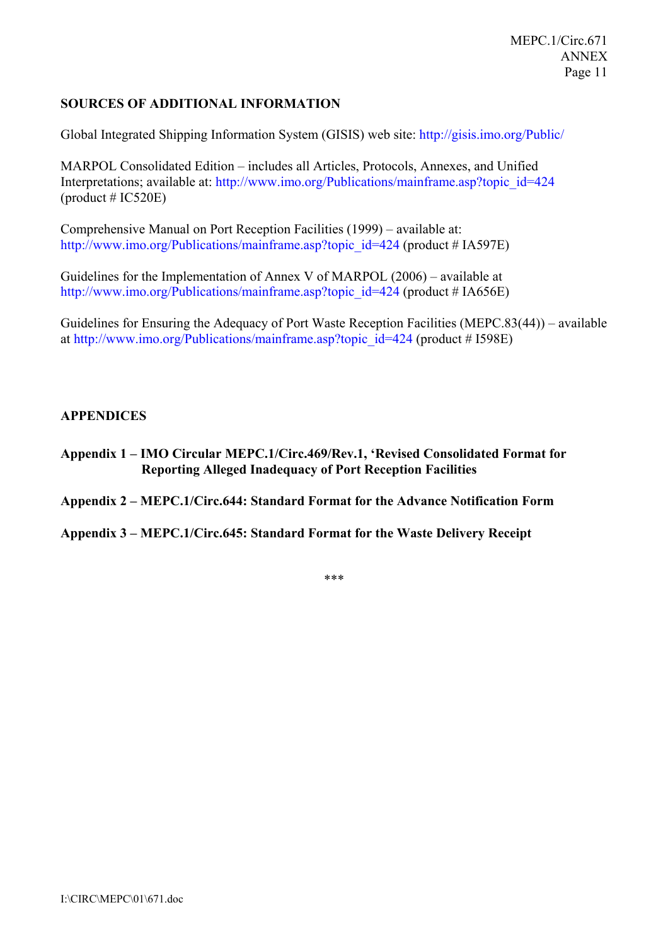MEPC.1/Circ.671 ANNEX Page 11

#### **SOURCES OF ADDITIONAL INFORMATION**

Global Integrated Shipping Information System (GISIS) web site: http://gisis.imo.org/Public/

MARPOL Consolidated Edition – includes all Articles, Protocols, Annexes, and Unified Interpretations; available at: http://www.imo.org/Publications/mainframe.asp?topic\_id=424  $product # IC520E)$ 

Comprehensive Manual on Port Reception Facilities (1999) – available at: http://www.imo.org/Publications/mainframe.asp?topic\_id=424 (product # IA597E)

Guidelines for the Implementation of Annex V of MARPOL (2006) – available at http://www.imo.org/Publications/mainframe.asp?topic\_id=424 (product # IA656E)

Guidelines for Ensuring the Adequacy of Port Waste Reception Facilities (MEPC.83(44)) – available at http://www.imo.org/Publications/mainframe.asp?topic\_id=424 (product # I598E)

#### **APPENDICES**

**Appendix 1 – IMO Circular MEPC.1/Circ.469/Rev.1, 'Revised Consolidated Format for Reporting Alleged Inadequacy of Port Reception Facilities** 

**Appendix 2 – MEPC.1/Circ.644: Standard Format for the Advance Notification Form** 

**Appendix 3 – MEPC.1/Circ.645: Standard Format for the Waste Delivery Receipt** 

\*\*\*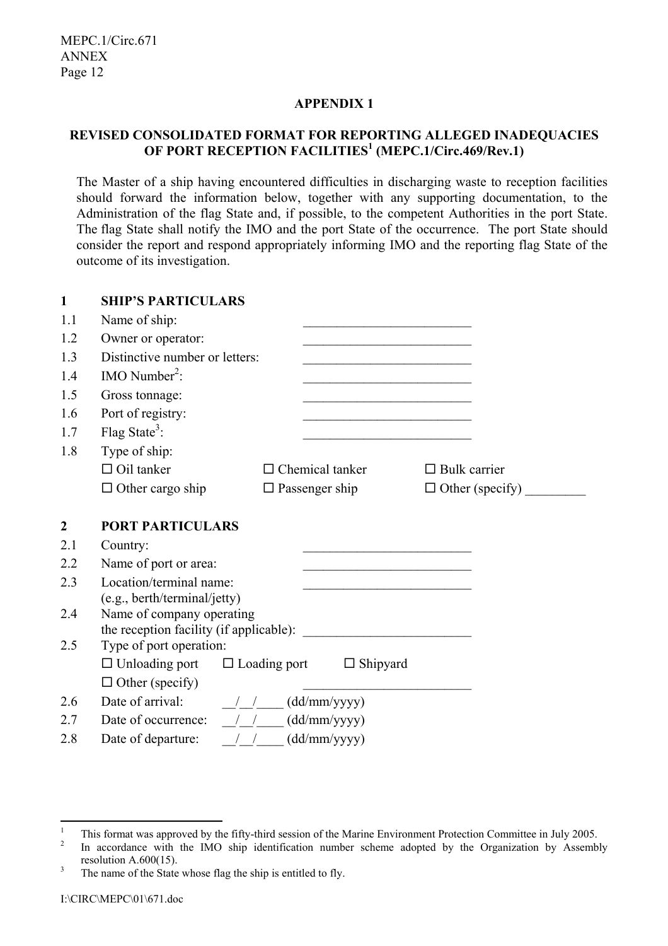# **APPENDIX 1**

# **REVISED CONSOLIDATED FORMAT FOR REPORTING ALLEGED INADEQUACIES OF PORT RECEPTION FACILITIES<sup>1</sup> (MEPC.1/Circ.469/Rev.1)**

The Master of a ship having encountered difficulties in discharging waste to reception facilities should forward the information below, together with any supporting documentation, to the Administration of the flag State and, if possible, to the competent Authorities in the port State. The flag State shall notify the IMO and the port State of the occurrence. The port State should consider the report and respond appropriately informing IMO and the reporting flag State of the outcome of its investigation.

| $\mathbf{1}$     | <b>SHIP'S PARTICULARS</b>                                                                                                                                                                                                                                                                                                                                                                                          |                                                                                                                      |                        |
|------------------|--------------------------------------------------------------------------------------------------------------------------------------------------------------------------------------------------------------------------------------------------------------------------------------------------------------------------------------------------------------------------------------------------------------------|----------------------------------------------------------------------------------------------------------------------|------------------------|
| 1.1              | Name of ship:                                                                                                                                                                                                                                                                                                                                                                                                      | the control of the control of the control of the control of the control of the control of                            |                        |
| 1.2              | Owner or operator:                                                                                                                                                                                                                                                                                                                                                                                                 | <u> 1989 - Johann Stoff, amerikansk politiker (d. 1989)</u>                                                          |                        |
| 1.3              | Distinctive number or letters:                                                                                                                                                                                                                                                                                                                                                                                     | <u> 1989 - Johann Barbara, martxa al III-lea (h. 1989).</u>                                                          |                        |
| 1.4              | IMO Number <sup>2</sup> :                                                                                                                                                                                                                                                                                                                                                                                          |                                                                                                                      |                        |
| 1.5              | Gross tonnage:                                                                                                                                                                                                                                                                                                                                                                                                     | <u> 1989 - Johann Barbara, martxa amerikan personal (h. 1989)</u>                                                    |                        |
| 1.6              | Port of registry:                                                                                                                                                                                                                                                                                                                                                                                                  |                                                                                                                      |                        |
| 1.7              | Flag State <sup>3</sup> :                                                                                                                                                                                                                                                                                                                                                                                          |                                                                                                                      |                        |
| 1.8              | Type of ship:                                                                                                                                                                                                                                                                                                                                                                                                      |                                                                                                                      |                        |
|                  | $\Box$ Oil tanker                                                                                                                                                                                                                                                                                                                                                                                                  | $\Box$ Chemical tanker                                                                                               | $\Box$ Bulk carrier    |
|                  | $\Box$ Other cargo ship                                                                                                                                                                                                                                                                                                                                                                                            | $\Box$ Passenger ship                                                                                                | $\Box$ Other (specify) |
|                  |                                                                                                                                                                                                                                                                                                                                                                                                                    |                                                                                                                      |                        |
| $\boldsymbol{2}$ | <b>PORT PARTICULARS</b>                                                                                                                                                                                                                                                                                                                                                                                            |                                                                                                                      |                        |
| 2.1              | Country:                                                                                                                                                                                                                                                                                                                                                                                                           |                                                                                                                      |                        |
| 2.2              | Name of port or area:                                                                                                                                                                                                                                                                                                                                                                                              | <u> 1989 - Johann John Stone, mars eta bainar eta baina eta baina eta baina eta baina eta baina eta baina eta ba</u> |                        |
| 2.3              | Location/terminal name:                                                                                                                                                                                                                                                                                                                                                                                            |                                                                                                                      |                        |
|                  | (e.g., berth/terminal/jetty)                                                                                                                                                                                                                                                                                                                                                                                       |                                                                                                                      |                        |
| 2.4              | Name of company operating                                                                                                                                                                                                                                                                                                                                                                                          |                                                                                                                      |                        |
| 2.5              | Type of port operation:                                                                                                                                                                                                                                                                                                                                                                                            |                                                                                                                      |                        |
|                  |                                                                                                                                                                                                                                                                                                                                                                                                                    |                                                                                                                      |                        |
|                  | $\Box$ Unloading port $\Box$ Loading port $\Box$ Shipyard                                                                                                                                                                                                                                                                                                                                                          |                                                                                                                      |                        |
|                  | $\Box$ Other (specify)                                                                                                                                                                                                                                                                                                                                                                                             |                                                                                                                      |                        |
| 2.6              | Date of arrival: $\frac{1}{\sqrt{1-\frac{1}{\sqrt{1-\frac{1}{\sqrt{1-\frac{1}{\sqrt{1-\frac{1}{\sqrt{1-\frac{1}{\sqrt{1-\frac{1}{\sqrt{1-\frac{1}{\sqrt{1-\frac{1}{\sqrt{1-\frac{1}{\sqrt{1-\frac{1}{\sqrt{1-\frac{1}{\sqrt{1-\frac{1}{\sqrt{1-\frac{1}{\sqrt{1-\frac{1}{\sqrt{1-\frac{1}{\sqrt{1-\frac{1}{\sqrt{1-\frac{1}{\sqrt{1-\frac{1}{\sqrt{1-\frac{1}{\sqrt{1-\frac{1}{\sqrt{1-\frac{1}{\sqrt{1-\frac{1}{$ |                                                                                                                      |                        |
| 2.7              | Date of occurrence: $\frac{1}{\sqrt{1-\frac{1}{\sqrt{1-\frac{1}{\sqrt{1-\frac{1}{\sqrt{1-\frac{1}{\sqrt{1-\frac{1}{\sqrt{1-\frac{1}{\sqrt{1-\frac{1}{\sqrt{1-\frac{1}{\sqrt{1-\frac{1}{\sqrt{1-\frac{1}{\sqrt{1-\frac{1}{\sqrt{1-\frac{1}{\sqrt{1-\frac{1}{\sqrt{1-\frac{1}{\sqrt{1-\frac{1}{\sqrt{1-\frac{1}{\sqrt{1-\frac{1}{\sqrt{1-\frac{1}{\sqrt{1-\frac{1}{\sqrt{1-\frac{1}{\sqrt{1-\frac{1}{\sqrt{1-\frac$  |                                                                                                                      |                        |
| 2.8              | Date of departure: / / (dd/mm/yyyy)                                                                                                                                                                                                                                                                                                                                                                                |                                                                                                                      |                        |

 $\frac{1}{1}$  $\frac{1}{2}$  This format was approved by the fifty-third session of the Marine Environment Protection Committee in July 2005.

In accordance with the IMO ship identification number scheme adopted by the Organization by Assembly resolution A.600(15).<br> $\frac{3}{\text{The name of the State}}$ 

The name of the State whose flag the ship is entitled to fly.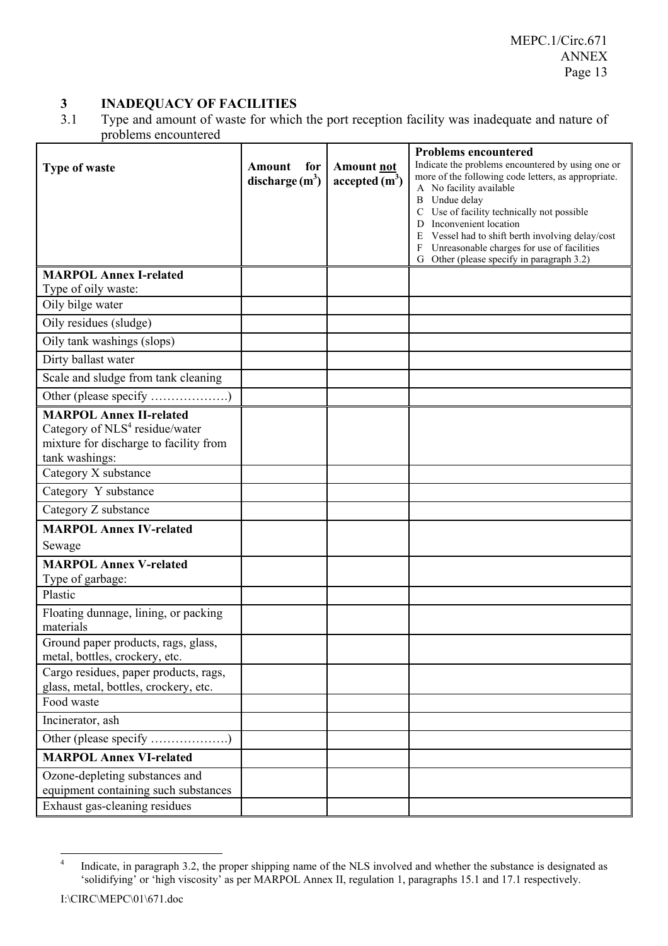# **3 INADEQUACY OF FACILITIES**<br>3.1 Type and amount of waste for which

Type and amount of waste for which the port reception facility was inadequate and nature of problems encountered

|                                                                        |                   |                                      | <b>Problems encountered</b>                                                                              |
|------------------------------------------------------------------------|-------------------|--------------------------------------|----------------------------------------------------------------------------------------------------------|
| Type of waste                                                          | Amount<br>for     | <b>Amount not</b><br>accepted $(m3)$ | Indicate the problems encountered by using one or<br>more of the following code letters, as appropriate. |
|                                                                        | discharge $(m^3)$ |                                      | A No facility available                                                                                  |
|                                                                        |                   |                                      | <b>B</b> Undue delay<br>C Use of facility technically not possible                                       |
|                                                                        |                   |                                      | D Inconvenient location                                                                                  |
|                                                                        |                   |                                      | E Vessel had to shift berth involving delay/cost<br>F Unreasonable charges for use of facilities         |
|                                                                        |                   |                                      | G Other (please specify in paragraph 3.2)                                                                |
| <b>MARPOL Annex I-related</b>                                          |                   |                                      |                                                                                                          |
| Type of oily waste:                                                    |                   |                                      |                                                                                                          |
| Oily bilge water                                                       |                   |                                      |                                                                                                          |
| Oily residues (sludge)                                                 |                   |                                      |                                                                                                          |
| Oily tank washings (slops)                                             |                   |                                      |                                                                                                          |
| Dirty ballast water                                                    |                   |                                      |                                                                                                          |
| Scale and sludge from tank cleaning                                    |                   |                                      |                                                                                                          |
|                                                                        |                   |                                      |                                                                                                          |
| <b>MARPOL Annex II-related</b>                                         |                   |                                      |                                                                                                          |
| Category of $NLS4$ residue/water                                       |                   |                                      |                                                                                                          |
| mixture for discharge to facility from                                 |                   |                                      |                                                                                                          |
| tank washings:<br>Category X substance                                 |                   |                                      |                                                                                                          |
| Category Y substance                                                   |                   |                                      |                                                                                                          |
| Category Z substance                                                   |                   |                                      |                                                                                                          |
|                                                                        |                   |                                      |                                                                                                          |
| <b>MARPOL Annex IV-related</b>                                         |                   |                                      |                                                                                                          |
| Sewage                                                                 |                   |                                      |                                                                                                          |
| <b>MARPOL Annex V-related</b><br>Type of garbage:                      |                   |                                      |                                                                                                          |
| Plastic                                                                |                   |                                      |                                                                                                          |
| Floating dunnage, lining, or packing                                   |                   |                                      |                                                                                                          |
| materials                                                              |                   |                                      |                                                                                                          |
| Ground paper products, rags, glass,                                    |                   |                                      |                                                                                                          |
| metal, bottles, crockery, etc.                                         |                   |                                      |                                                                                                          |
| Cargo residues, paper products, rags,                                  |                   |                                      |                                                                                                          |
| glass, metal, bottles, crockery, etc.<br>Food waste                    |                   |                                      |                                                                                                          |
| Incinerator, ash                                                       |                   |                                      |                                                                                                          |
| Other (please specify )                                                |                   |                                      |                                                                                                          |
|                                                                        |                   |                                      |                                                                                                          |
| <b>MARPOL Annex VI-related</b>                                         |                   |                                      |                                                                                                          |
| Ozone-depleting substances and<br>equipment containing such substances |                   |                                      |                                                                                                          |
| Exhaust gas-cleaning residues                                          |                   |                                      |                                                                                                          |
|                                                                        |                   |                                      |                                                                                                          |

 $\frac{1}{4}$  Indicate, in paragraph 3.2, the proper shipping name of the NLS involved and whether the substance is designated as 'solidifying' or 'high viscosity' as per MARPOL Annex II, regulation 1, paragraphs 15.1 and 17.1 respectively.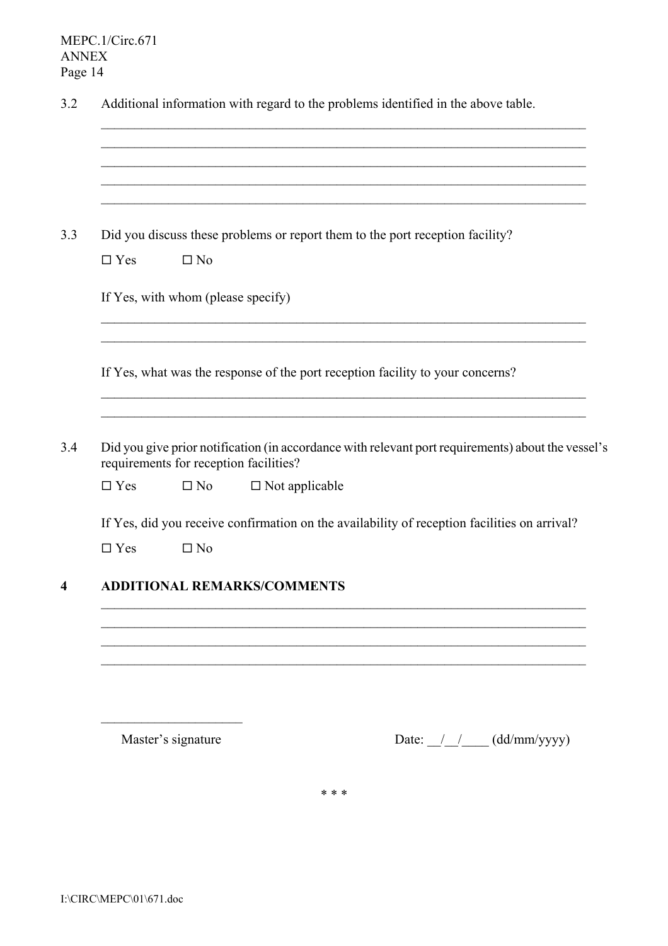|               |                                        | Did you discuss these problems or report them to the port reception facility?                      |
|---------------|----------------------------------------|----------------------------------------------------------------------------------------------------|
| $\Box$ Yes    | $\square$ No                           |                                                                                                    |
|               | If Yes, with whom (please specify)     |                                                                                                    |
|               |                                        | If Yes, what was the response of the port reception facility to your concerns?                     |
|               | requirements for reception facilities? | Did you give prior notification (in accordance with relevant port requirements) about the vessel's |
| $\Box$ Yes    | $\square$ No                           | $\square$ Not applicable                                                                           |
|               |                                        | If Yes, did you receive confirmation on the availability of reception facilities on arrival?       |
| $\square$ Yes | $\square$ No                           |                                                                                                    |
|               |                                        | <b>ADDITIONAL REMARKS/COMMENTS</b>                                                                 |
|               |                                        |                                                                                                    |
|               |                                        |                                                                                                    |

\* \* \*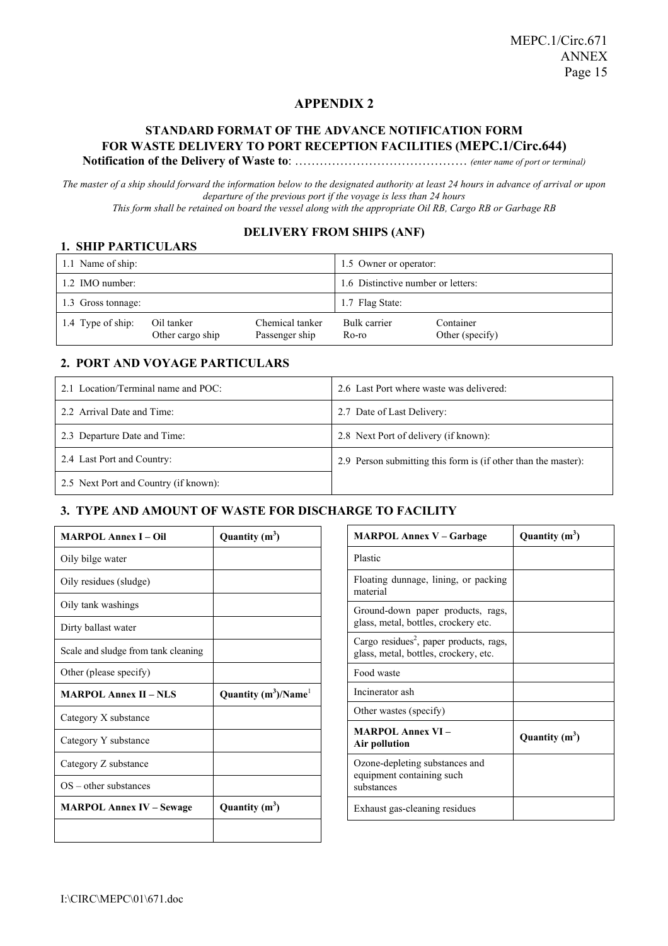## **APPENDIX 2**

#### **STANDARD FORMAT OF THE ADVANCE NOTIFICATION FORM FOR WASTE DELIVERY TO PORT RECEPTION FACILITIES (MEPC.1/Circ.644) Notification of the Delivery of Waste to**: …………………………………… *(enter name of port or terminal)*

*The master of a ship should forward the information below to the designated authority at least 24 hours in advance of arrival or upon departure of the previous port if the voyage is less than 24 hours This form shall be retained on board the vessel along with the appropriate Oil RB, Cargo RB or Garbage RB* 

#### **DELIVERY FROM SHIPS (ANF)**

| <b>1. SHIP PARTICULARS</b> |                                |                                    |                       |                              |  |  |
|----------------------------|--------------------------------|------------------------------------|-----------------------|------------------------------|--|--|
| 1.1 Name of ship:          |                                | 1.5 Owner or operator:             |                       |                              |  |  |
| 1.2 IMO number:            |                                | 1.6 Distinctive number or letters: |                       |                              |  |  |
| 1.3 Gross tonnage:         |                                |                                    | 1.7 Flag State:       |                              |  |  |
| 1.4 Type of ship:          | Oil tanker<br>Other cargo ship | Chemical tanker<br>Passenger ship  | Bulk carrier<br>Ro-ro | Container<br>Other (specify) |  |  |

#### **2. PORT AND VOYAGE PARTICULARS**

| 2.1 Location/Terminal name and POC:   | 2.6 Last Port where waste was delivered:                       |
|---------------------------------------|----------------------------------------------------------------|
| 2.2 Arrival Date and Time:            | 2.7 Date of Last Delivery:                                     |
| 2.3 Departure Date and Time:          | 2.8 Next Port of delivery (if known):                          |
| 2.4 Last Port and Country:            | 2.9 Person submitting this form is (if other than the master): |
| 2.5 Next Port and Country (if known): |                                                                |

#### **3. TYPE AND AMOUNT OF WASTE FOR DISCHARGE TO FACILITY**

| <b>MARPOL Annex I - Oil</b>         | Quantity $(m^3)$        |
|-------------------------------------|-------------------------|
| Oily bilge water                    |                         |
| Oily residues (sludge)              |                         |
| Oily tank washings                  |                         |
| Dirty ballast water                 |                         |
| Scale and sludge from tank cleaning |                         |
| Other (please specify)              |                         |
| <b>MARPOL Annex II – NLS</b>        | Quantity $(m^3)/Name^1$ |
| Category X substance                |                         |
| Category Y substance                |                         |
| Category Z substance                |                         |
| $OS$ – other substances             |                         |
| <b>MARPOL Annex IV – Sewage</b>     | Quantity $(m^3)$        |
|                                     |                         |

| <b>MARPOL Annex V - Garbage</b>                                                              | Quantity $(m^3)$ |
|----------------------------------------------------------------------------------------------|------------------|
| Plastic                                                                                      |                  |
| Floating dunnage, lining, or packing<br>material                                             |                  |
| Ground-down paper products, rags,<br>glass, metal, bottles, crockery etc.                    |                  |
| Cargo residues <sup>2</sup> , paper products, rags,<br>glass, metal, bottles, crockery, etc. |                  |
| Food waste                                                                                   |                  |
| Incinerator ash                                                                              |                  |
| Other wastes (specify)                                                                       |                  |
| <b>MARPOL Annex VI-</b><br>Air pollution                                                     | Quantity $(m^3)$ |
| Ozone-depleting substances and<br>equipment containing such<br>substances                    |                  |
| Exhaust gas-cleaning residues                                                                |                  |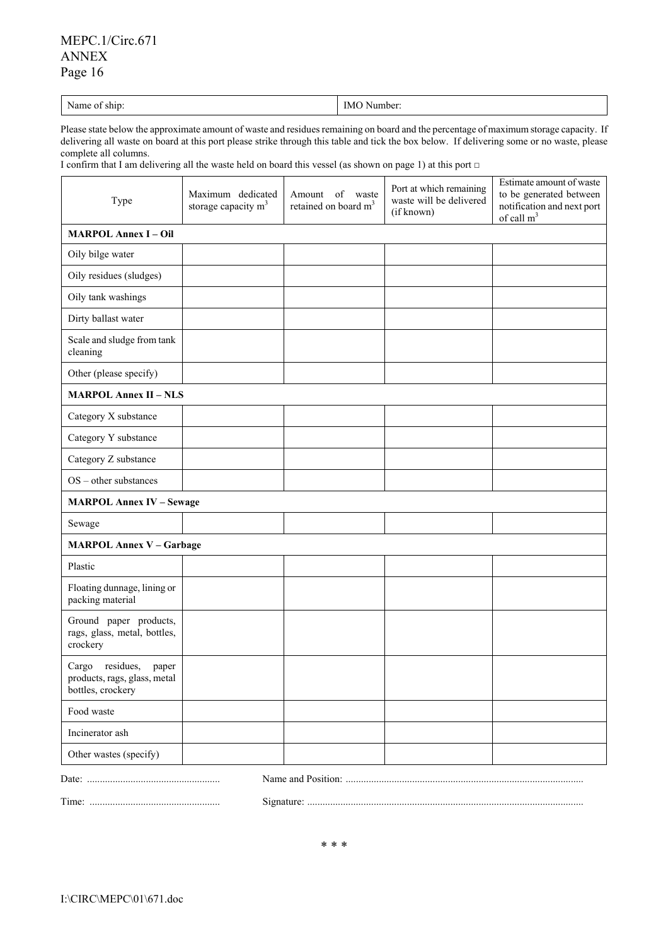# MEPC.1/Circ.671 ANNEX Page 16

| . .<br>$\mathbf{r}$<br>. .<br>$\sim$<br>IMO<br>Number:<br>Name of ship:<br>. |
|------------------------------------------------------------------------------|
|------------------------------------------------------------------------------|

Please state below the approximate amount of waste and residues remaining on board and the percentage of maximum storage capacity. If delivering all waste on board at this port please strike through this table and tick the box below. If delivering some or no waste, please complete all columns.

I confirm that I am delivering all the waste held on board this vessel (as shown on page 1) at this port □

| Type                                                                          | Maximum dedicated<br>storage capacity $m3$ | of waste<br>Amount<br>retained on board m <sup>3</sup> | Port at which remaining<br>waste will be delivered<br>(if known) | Estimate amount of waste<br>to be generated between<br>notification and next port<br>of call $m3$ |  |  |  |
|-------------------------------------------------------------------------------|--------------------------------------------|--------------------------------------------------------|------------------------------------------------------------------|---------------------------------------------------------------------------------------------------|--|--|--|
| <b>MARPOL Annex I - Oil</b>                                                   |                                            |                                                        |                                                                  |                                                                                                   |  |  |  |
| Oily bilge water                                                              |                                            |                                                        |                                                                  |                                                                                                   |  |  |  |
| Oily residues (sludges)                                                       |                                            |                                                        |                                                                  |                                                                                                   |  |  |  |
| Oily tank washings                                                            |                                            |                                                        |                                                                  |                                                                                                   |  |  |  |
| Dirty ballast water                                                           |                                            |                                                        |                                                                  |                                                                                                   |  |  |  |
| Scale and sludge from tank<br>cleaning                                        |                                            |                                                        |                                                                  |                                                                                                   |  |  |  |
| Other (please specify)                                                        |                                            |                                                        |                                                                  |                                                                                                   |  |  |  |
| <b>MARPOL Annex II - NLS</b>                                                  |                                            |                                                        |                                                                  |                                                                                                   |  |  |  |
| Category X substance                                                          |                                            |                                                        |                                                                  |                                                                                                   |  |  |  |
| Category Y substance                                                          |                                            |                                                        |                                                                  |                                                                                                   |  |  |  |
| Category Z substance                                                          |                                            |                                                        |                                                                  |                                                                                                   |  |  |  |
| $OS$ – other substances                                                       |                                            |                                                        |                                                                  |                                                                                                   |  |  |  |
| <b>MARPOL Annex IV - Sewage</b>                                               |                                            |                                                        |                                                                  |                                                                                                   |  |  |  |
| Sewage                                                                        |                                            |                                                        |                                                                  |                                                                                                   |  |  |  |
| <b>MARPOL Annex V - Garbage</b>                                               |                                            |                                                        |                                                                  |                                                                                                   |  |  |  |
| Plastic                                                                       |                                            |                                                        |                                                                  |                                                                                                   |  |  |  |
| Floating dunnage, lining or<br>packing material                               |                                            |                                                        |                                                                  |                                                                                                   |  |  |  |
| Ground paper products,<br>rags, glass, metal, bottles,<br>crockery            |                                            |                                                        |                                                                  |                                                                                                   |  |  |  |
| Cargo residues,<br>paper<br>products, rags, glass, metal<br>bottles, crockery |                                            |                                                        |                                                                  |                                                                                                   |  |  |  |
| Food waste                                                                    |                                            |                                                        |                                                                  |                                                                                                   |  |  |  |
| Incinerator ash                                                               |                                            |                                                        |                                                                  |                                                                                                   |  |  |  |
| Other wastes (specify)                                                        |                                            |                                                        |                                                                  |                                                                                                   |  |  |  |
|                                                                               |                                            |                                                        |                                                                  |                                                                                                   |  |  |  |

Time: ................................................... Signature: ............................................................................................................

\* \* \*